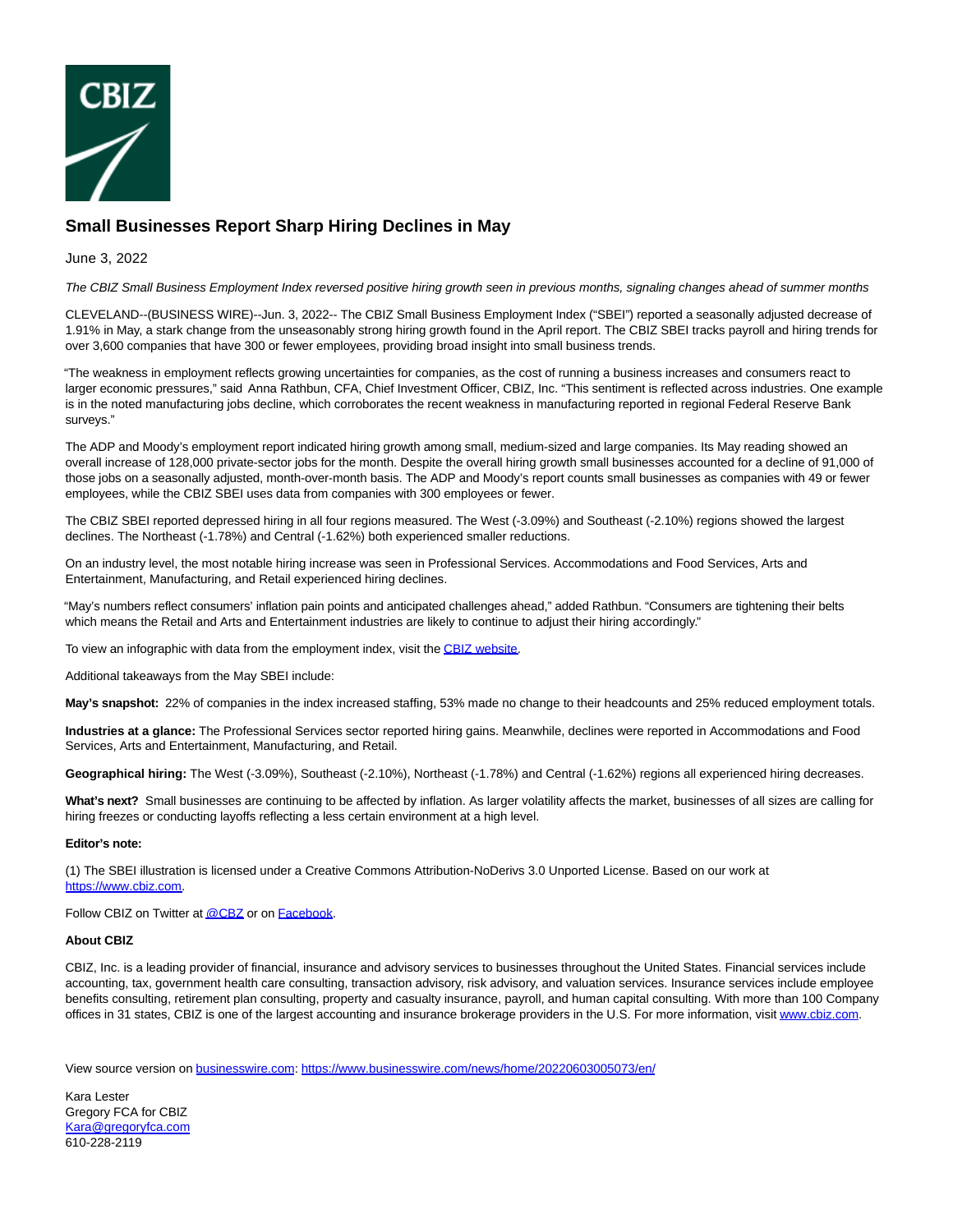

## **Small Businesses Report Sharp Hiring Declines in May**

## June 3, 2022

The CBIZ Small Business Employment Index reversed positive hiring growth seen in previous months, signaling changes ahead of summer months

CLEVELAND--(BUSINESS WIRE)--Jun. 3, 2022-- The CBIZ Small Business Employment Index ("SBEI") reported a seasonally adjusted decrease of 1.91% in May, a stark change from the unseasonably strong hiring growth found in the April report. The CBIZ SBEI tracks payroll and hiring trends for over 3,600 companies that have 300 or fewer employees, providing broad insight into small business trends.

"The weakness in employment reflects growing uncertainties for companies, as the cost of running a business increases and consumers react to larger economic pressures," said Anna Rathbun, CFA, Chief Investment Officer, CBIZ, Inc. "This sentiment is reflected across industries. One example is in the noted manufacturing jobs decline, which corroborates the recent weakness in manufacturing reported in regional Federal Reserve Bank surveys."

The ADP and Moody's employment report indicated hiring growth among small, medium-sized and large companies. Its May reading showed an overall increase of 128,000 private-sector jobs for the month. Despite the overall hiring growth small businesses accounted for a decline of 91,000 of those jobs on a seasonally adjusted, month-over-month basis. The ADP and Moody's report counts small businesses as companies with 49 or fewer employees, while the CBIZ SBEI uses data from companies with 300 employees or fewer.

The CBIZ SBEI reported depressed hiring in all four regions measured. The West (-3.09%) and Southeast (-2.10%) regions showed the largest declines. The Northeast (-1.78%) and Central (-1.62%) both experienced smaller reductions.

On an industry level, the most notable hiring increase was seen in Professional Services. Accommodations and Food Services, Arts and Entertainment, Manufacturing, and Retail experienced hiring declines.

"May's numbers reflect consumers' inflation pain points and anticipated challenges ahead," added Rathbun. "Consumers are tightening their belts which means the Retail and Arts and Entertainment industries are likely to continue to adjust their hiring accordingly."

To view an infographic with data from the employment index, visit th[e CBIZ website.](https://cts.businesswire.com/ct/CT?id=smartlink&url=https%3A%2F%2Fwww.cbiz.com%2Finsights%2Farticles%2Farticle-details%2Fcbiz-small-business-employment-index-reported-a-notable-decline-in-may&esheet=52738352&newsitemid=20220603005073&lan=en-US&anchor=CBIZ+website&index=1&md5=1c3fa9078f8cdbc7460fdfaaf782bb1a)

Additional takeaways from the May SBEI include:

**May's snapshot:** 22% of companies in the index increased staffing, 53% made no change to their headcounts and 25% reduced employment totals.

**Industries at a glance:** The Professional Services sector reported hiring gains. Meanwhile, declines were reported in Accommodations and Food Services, Arts and Entertainment, Manufacturing, and Retail.

**Geographical hiring:** The West (-3.09%), Southeast (-2.10%), Northeast (-1.78%) and Central (-1.62%) regions all experienced hiring decreases.

What's next? Small businesses are continuing to be affected by inflation. As larger volatility affects the market, businesses of all sizes are calling for hiring freezes or conducting layoffs reflecting a less certain environment at a high level.

## **Editor's note:**

(1) The SBEI illustration is licensed under a Creative Commons Attribution-NoDerivs 3.0 Unported License. Based on our work at [https://www.cbiz.com.](https://cts.businesswire.com/ct/CT?id=smartlink&url=https%3A%2F%2Fwww.cbiz.com&esheet=52738352&newsitemid=20220603005073&lan=en-US&anchor=https%3A%2F%2Fwww.cbiz.com&index=2&md5=15f87e5fcd184fe0da8c06e74cae21a3)

Follow CBIZ on Twitter a[t @CBZ o](https://cts.businesswire.com/ct/CT?id=smartlink&url=https%3A%2F%2Ftwitter.com%2Fcbz&esheet=52738352&newsitemid=20220603005073&lan=en-US&anchor=%40CBZ&index=3&md5=2a899950891e4b7977c4d65c1eeaf9df)r on [Facebook.](https://cts.businesswire.com/ct/CT?id=smartlink&url=https%3A%2F%2Fwww.facebook.com%2Fcbizcareers%2F&esheet=52738352&newsitemid=20220603005073&lan=en-US&anchor=Facebook&index=4&md5=f27f463083d2a57aa7169915823178c2)

## **About CBIZ**

CBIZ, Inc. is a leading provider of financial, insurance and advisory services to businesses throughout the United States. Financial services include accounting, tax, government health care consulting, transaction advisory, risk advisory, and valuation services. Insurance services include employee benefits consulting, retirement plan consulting, property and casualty insurance, payroll, and human capital consulting. With more than 100 Company offices in 31 states, CBIZ is one of the largest accounting and insurance brokerage providers in the U.S. For more information, visi[t www.cbiz.com.](https://cts.businesswire.com/ct/CT?id=smartlink&url=https%3A%2F%2Fwww.cbiz.com&esheet=52738352&newsitemid=20220603005073&lan=en-US&anchor=www.cbiz.com&index=5&md5=20b976d7ffc081996a1ad10ad3ac9bff)

View source version on [businesswire.com:](http://businesswire.com/)<https://www.businesswire.com/news/home/20220603005073/en/>

Kara Lester Gregory FCA for CBIZ [Kara@gregoryfca.com](mailto:Kara@gregoryfca.com) 610-228-2119